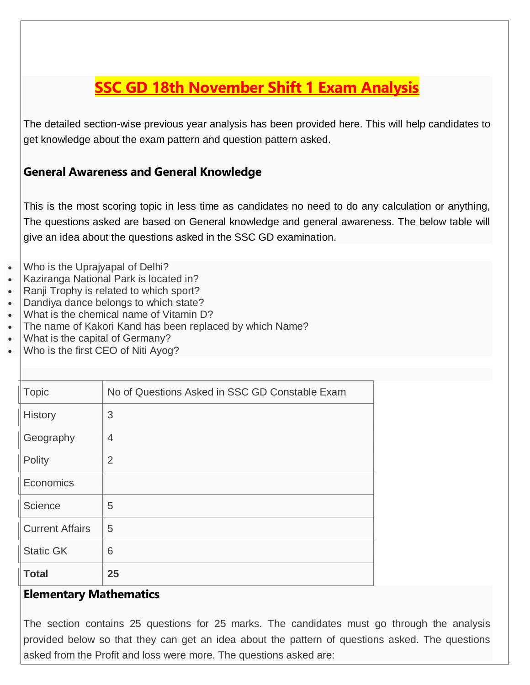# **SSC GD 18th November Shift 1 Exam Analysis**

The detailed section-wise previous year analysis has been provided here. This will help candidates to get knowledge about the exam pattern and question pattern asked.

### **General Awareness and General Knowledge**

This is the most scoring topic in less time as candidates no need to do any calculation or anything, The questions asked are based on General knowledge and general awareness. The below table will give an idea about the questions asked in the SSC GD examination.

- Who is the Uprajyapal of Delhi?
- Kaziranga National Park is located in?
- Ranji Trophy is related to which sport?
- Dandiya dance belongs to which state?
- What is the chemical name of Vitamin D?
- The name of Kakori Kand has been replaced by which Name?
- What is the capital of Germany?
- Who is the first CEO of Niti Ayog?

| <b>Total</b>           | 25                                             |
|------------------------|------------------------------------------------|
| <b>Static GK</b>       | 6                                              |
| <b>Current Affairs</b> | 5                                              |
| Science                | 5                                              |
| Economics              |                                                |
| Polity                 | $\overline{2}$                                 |
| Geography              | 4                                              |
| <b>History</b>         | 3                                              |
| <b>Topic</b>           | No of Questions Asked in SSC GD Constable Exam |
|                        |                                                |

#### **Elementary Mathematics**

The section contains 25 questions for 25 marks. The candidates must go through the analysis provided below so that they can get an idea about the pattern of questions asked. The questions asked from the Profit and loss were more. The questions asked are: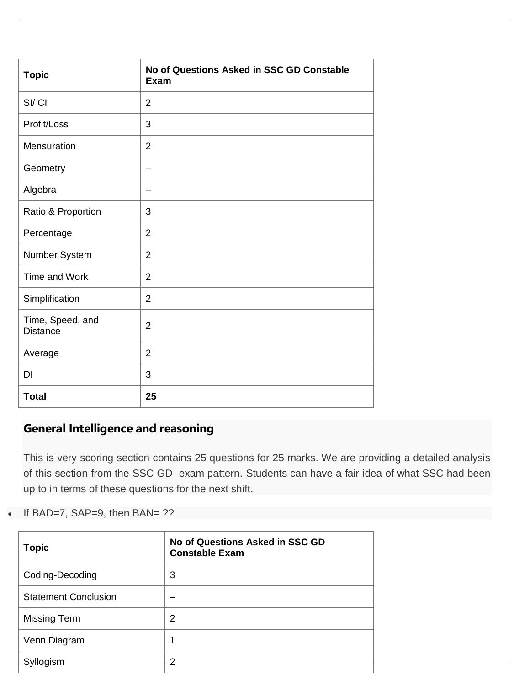| <b>Topic</b>                        | No of Questions Asked in SSC GD Constable<br><b>Exam</b> |
|-------------------------------------|----------------------------------------------------------|
| SI/CI                               | $\overline{2}$                                           |
| Profit/Loss                         | 3                                                        |
| Mensuration                         | $\overline{2}$                                           |
| Geometry                            | -                                                        |
| Algebra                             |                                                          |
| Ratio & Proportion                  | 3                                                        |
| Percentage                          | $\overline{2}$                                           |
| Number System                       | $\overline{2}$                                           |
| Time and Work                       | $\overline{2}$                                           |
| Simplification                      | $\overline{2}$                                           |
| Time, Speed, and<br><b>Distance</b> | $\overline{2}$                                           |
| Average                             | $\overline{2}$                                           |
| DI                                  | 3                                                        |
| <b>Total</b>                        | 25                                                       |

## **General Intelligence and reasoning**

This is very scoring section contains 25 questions for 25 marks. We are providing a detailed analysis of this section from the SSC GD exam pattern. Students can have a fair idea of what SSC had been up to in terms of these questions for the next shift.

If BAD=7, SAP=9, then BAN= ??

| <b>Topic</b>                | No of Questions Asked in SSC GD<br><b>Constable Exam</b> |
|-----------------------------|----------------------------------------------------------|
| Coding-Decoding             | 3                                                        |
| <b>Statement Conclusion</b> |                                                          |
| <b>Missing Term</b>         | 2                                                        |
| Venn Diagram                | 1                                                        |
| vlloaism                    |                                                          |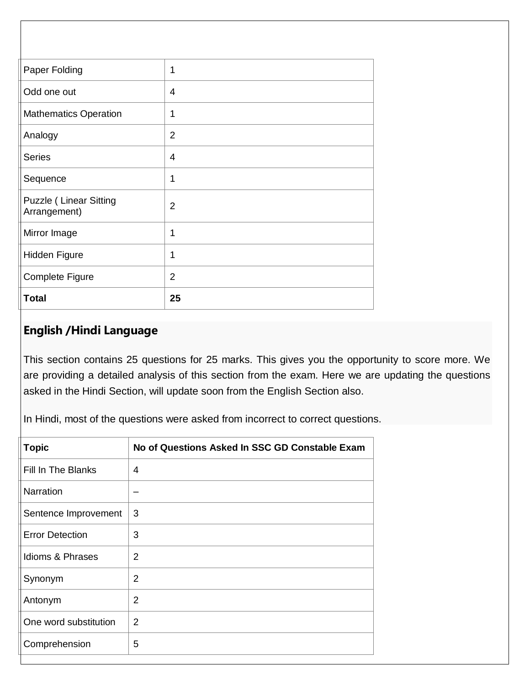| <b>Complete Figure</b><br><b>Total</b>        | $\overline{2}$<br>25 |
|-----------------------------------------------|----------------------|
| <b>Hidden Figure</b>                          |                      |
|                                               | 1                    |
| Mirror Image                                  | 1                    |
| <b>Puzzle (Linear Sitting</b><br>Arrangement) | $\overline{2}$       |
| Sequence                                      | 1                    |
| <b>Series</b>                                 | $\overline{4}$       |
| Analogy                                       | $\overline{2}$       |
| <b>Mathematics Operation</b>                  | 1                    |
| Odd one out                                   | 4                    |
| Paper Folding                                 | 1                    |
|                                               |                      |

### **English /Hindi Language**

This section contains 25 questions for 25 marks. This gives you the opportunity to score more. We are providing a detailed analysis of this section from the exam. Here we are updating the questions asked in the Hindi Section, will update soon from the English Section also.

In Hindi, most of the questions were asked from incorrect to correct questions.

| <b>Topic</b>           | No of Questions Asked In SSC GD Constable Exam |
|------------------------|------------------------------------------------|
| Fill In The Blanks     | 4                                              |
| Narration              |                                                |
| Sentence Improvement   | 3                                              |
| <b>Error Detection</b> | 3                                              |
| Idioms & Phrases       | 2                                              |
| Synonym                | $\overline{2}$                                 |
| Antonym                | 2                                              |
| One word substitution  | 2                                              |
| Comprehension          | 5                                              |